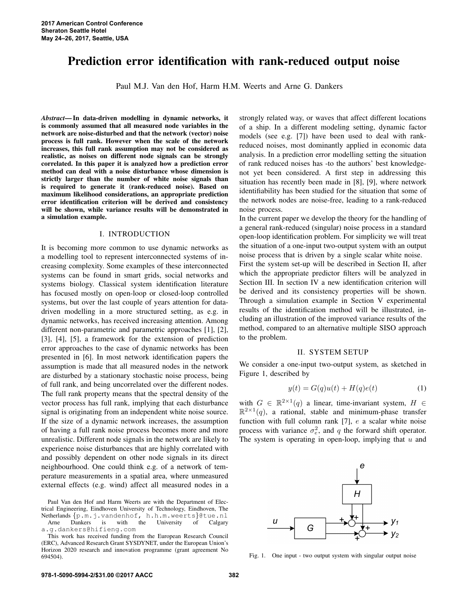# Prediction error identification with rank-reduced output noise

Paul M.J. Van den Hof, Harm H.M. Weerts and Arne G. Dankers

*Abstract*— In data-driven modelling in dynamic networks, it is commonly assumed that all measured node variables in the network are noise-disturbed and that the network (vector) noise process is full rank. However when the scale of the network increases, this full rank assumption may not be considered as realistic, as noises on different node signals can be strongly correlated. In this paper it is analyzed how a prediction error method can deal with a noise disturbance whose dimension is strictly larger than the number of white noise signals than is required to generate it (rank-reduced noise). Based on maximum likelihood considerations, an appropriate prediction error identification criterion will be derived and consistency will be shown, while variance results will be demonstrated in a simulation example.

#### I. INTRODUCTION

It is becoming more common to use dynamic networks as a modelling tool to represent interconnected systems of increasing complexity. Some examples of these interconnected systems can be found in smart grids, social networks and systems biology. Classical system identification literature has focused mostly on open-loop or closed-loop controlled systems, but over the last couple of years attention for datadriven modelling in a more structured setting, as e.g. in dynamic networks, has received increasing attention. Among different non-parametric and parametric approaches [1], [2], [3], [4], [5], a framework for the extension of prediction error approaches to the case of dynamic networks has been presented in [6]. In most network identification papers the assumption is made that all measured nodes in the network are disturbed by a stationary stochastic noise process, being of full rank, and being uncorrelated over the different nodes. The full rank property means that the spectral density of the vector process has full rank, implying that each disturbance signal is originating from an independent white noise source. If the size of a dynamic network increases, the assumption of having a full rank noise process becomes more and more unrealistic. Different node signals in the network are likely to experience noise disturbances that are highly correlated with and possibly dependent on other node signals in its direct neighbourhood. One could think e.g. of a network of temperature measurements in a spatial area, where unmeasured external effects (e.g. wind) affect all measured nodes in a

Paul Van den Hof and Harm Weerts are with the Department of Electrical Engineering, Eindhoven University of Technology, Eindhoven, The Netherlands {p.m.j.vandenhof, h.h.m.weerts}@tue.nl Arne Dankers is with the University of Calgary

a.g.dankers@hifieng.com This work has received funding from the European Research Council (ERC), Advanced Research Grant SYSDYNET, under the European Union's Horizon 2020 research and innovation programme (grant agreement No 694504).

strongly related way, or waves that affect different locations of a ship. In a different modeling setting, dynamic factor models (see e.g. [7]) have been used to deal with rankreduced noises, most dominantly applied in economic data analysis. In a prediction error modelling setting the situation of rank reduced noises has -to the authors' best knowledgenot yet been considered. A first step in addressing this situation has recently been made in [8], [9], where network identifiability has been studied for the situation that some of the network nodes are noise-free, leading to a rank-reduced noise process.

In the current paper we develop the theory for the handling of a general rank-reduced (singular) noise process in a standard open-loop identification problem. For simplicity we will treat the situation of a one-input two-output system with an output noise process that is driven by a single scalar white noise.

First the system set-up will be described in Section II, after which the appropriate predictor filters will be analyzed in Section III. In section IV a new identification criterion will be derived and its consistency properties will be shown. Through a simulation example in Section V experimental results of the identification method will be illustrated, including an illustration of the improved variance results of the method, compared to an alternative multiple SISO approach to the problem.

#### II. SYSTEM SETUP

We consider a one-input two-output system, as sketched in Figure 1, described by

$$
y(t) = G(q)u(t) + H(q)e(t)
$$
\n<sup>(1)</sup>

with  $G \in \mathbb{R}^{2 \times 1}(q)$  a linear, time-invariant system,  $H \in$  $\mathbb{R}^{2\times1}(q)$ , a rational, stable and minimum-phase transfer function with full column rank  $[7]$ , e a scalar white noise process with variance  $\sigma_e^2$ , and q the forward shift operator. The system is operating in open-loop, implying that  $u$  and



Fig. 1. One input - two output system with singular output noise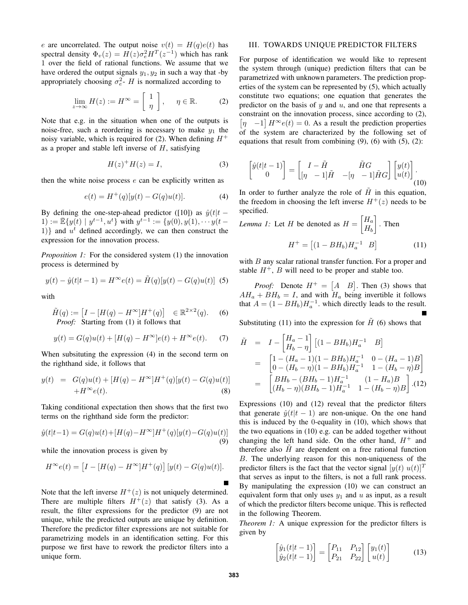e are uncorrelated. The output noise  $v(t) = H(q)e(t)$  has spectral density  $\Phi_v(z) = H(z)\sigma_e^2 H^T(z^{-1})$  which has rank 1 over the field of rational functions. We assume that we have ordered the output signals  $y_1, y_2$  in such a way that -by appropriately choosing  $\sigma_e^2$ - H is normalized according to

$$
\lim_{z \to \infty} H(z) := H^{\infty} = \left[ \begin{array}{c} 1 \\ \eta \end{array} \right], \quad \eta \in \mathbb{R}.
$$
 (2)

Note that e.g. in the situation when one of the outputs is noise-free, such a reordering is necessary to make  $y_1$  the noisy variable, which is required for (2). When defining  $H^+$ as a proper and stable left inverse of  $H$ , satisfying

$$
H(z)^+H(z) = I,\t(3)
$$

then the white noise process  $e$  can be explicitly written as

$$
e(t) = H^{+}(q)[y(t) - G(q)u(t)].
$$
\n(4)

By defining the one-step-ahead predictor ([10]) as  $\hat{y}(t|t 1) := \mathbb{E}\{y(t) \mid y^{t-1}, u^t\}$  with  $y^{t-1} := \{y(0), y(1), \cdots y(t-1)\}$ 1)} and  $u^t$  defined accordingly, we can then construct the expression for the innovation process.

*Proposition 1:* For the considered system (1) the innovation process is determined by

$$
y(t) - \hat{y}(t|t-1) = H^{\infty}e(t) = \tilde{H}(q)[y(t) - G(q)u(t)] \tag{5}
$$

with

$$
\tilde{H}(q) := [I - [H(q) - H^{\infty}]H^+(q)] \in \mathbb{R}^{2 \times 2}(q).
$$
\n(6)

\nProof: Starting from (1) it follows that

$$
y(t) = G(q)u(t) + [H(q) - H^{\infty}]e(t) + H^{\infty}e(t).
$$
 (7)

When subsituting the expression (4) in the second term on the righthand side, it follows that

$$
y(t) = G(q)u(t) + [H(q) - H^{\infty}]H^{+}(q)[y(t) - G(q)u(t)] + H^{\infty}e(t).
$$
\n(8)

Taking conditional expectation then shows that the first two terms on the righthand side form the predictor:

$$
\hat{y}(t|t-1) = G(q)u(t) + [H(q) - H^{\infty}]H^+(q)[y(t) - G(q)u(t)]
$$
\n(9)

while the innovation process is given by

$$
H^{\infty}e(t) = \left[I - [H(q) - H^{\infty}]H^+(q)\right][y(t) - G(q)u(t)].
$$

Note that the left inverse  $H^+(z)$  is not uniquely determined. There are multiple filters  $H^+(z)$  that satisfy (3). As a result, the filter expressions for the predictor (9) are not unique, while the predicted outputs are unique by definition. Therefore the predictor filter expressions are not suitable for parametrizing models in an identification setting. For this purpose we first have to rework the predictor filters into a unique form.

#### III. TOWARDS UNIQUE PREDICTOR FILTERS

For purpose of identification we would like to represent the system through (unique) prediction filters that can be parametrized with unknown parameters. The prediction properties of the system can be represented by (5), which actually constitute two equations; one equation that generates the predictor on the basis of  $y$  and  $u$ , and one that represents a constraint on the innovation process, since according to (2),  $\begin{bmatrix} \eta & -1 \end{bmatrix} H^{\infty} e(t) = 0$ . As a result the prediction properties of the system are characterized by the following set of equations that result from combining  $(9)$ ,  $(6)$  with  $(5)$ ,  $(2)$ :

$$
\begin{bmatrix} \hat{y}(t|t-1) \\ 0 \end{bmatrix} = \begin{bmatrix} I - \tilde{H} & \tilde{H}G \\ [\eta - 1]\tilde{H} & -[\eta - 1]\tilde{H}G \end{bmatrix} \begin{bmatrix} y(t) \\ u(t) \end{bmatrix}.
$$
\n(10)

In order to further analyze the role of  $\tilde{H}$  in this equation, the freedom in choosing the left inverse  $H^+(z)$  needs to be specified.

Lemma 1: Let *H* be denoted as 
$$
H = \begin{bmatrix} H_a \\ H_b \end{bmatrix}
$$
. Then  
\n
$$
H^+ = \begin{bmatrix} (1 - BH_b)H_a^{-1} & B \end{bmatrix}
$$
\n(11)

with  $B$  any scalar rational transfer function. For a proper and stable  $H^+$ , B will need to be proper and stable too.

*Proof:* Denote  $H^+ = \begin{bmatrix} A & B \end{bmatrix}$ . Then (3) shows that  $AH_a + BH_b = I$ , and with  $H_a$  being invertible it follows that  $A = (1 - BH_b)H_a^{-1}$ . which directly leads to the result.

Substituting (11) into the expression for  $\tilde{H}$  (6) shows that

$$
\tilde{H} = I - \begin{bmatrix} H_a - 1 \\ H_b - \eta \end{bmatrix} \begin{bmatrix} (1 - BH_b)H_a^{-1} & B \end{bmatrix}
$$
\n
$$
= \begin{bmatrix} 1 - (H_a - 1)(1 - BH_b)H_a^{-1} & 0 - (H_a - 1)B \\ 0 - (H_b - \eta)(1 - BH_b)H_a^{-1} & 1 - (H_b - \eta)B \end{bmatrix}
$$
\n
$$
= \begin{bmatrix} BH_b - (BH_b - 1)H_a^{-1} & (1 - H_a)B \\ (H_b - \eta)(BH_b - 1)H_a^{-1} & 1 - (H_b - \eta)B \end{bmatrix} . (12)
$$

Expressions (10) and (12) reveal that the predictor filters that generate  $\hat{y}(t|t-1)$  are non-unique. On the one hand this is induced by the 0-equality in (10), which shows that the two equations in (10) e.g. can be added together without changing the left hand side. On the other hand,  $H^+$  and therefore also  $H$  are dependent on a free rational function B. The underlying reason for this non-uniqueness of the predictor filters is the fact that the vector signal  $[y(t) u(t)]^T$ that serves as input to the filters, is not a full rank process. By manipulating the expression (10) we can construct an equivalent form that only uses  $y_1$  and u as input, as a result of which the predictor filters become unique. This is reflected in the following Theorem.

*Theorem 1:* A unique expression for the predictor filters is given by

$$
\begin{bmatrix}\n\hat{y}_1(t|t-1) \\
\hat{y}_2(t|t-1)\n\end{bmatrix} =\n\begin{bmatrix}\nP_{11} & P_{12} \\
P_{21} & P_{22}\n\end{bmatrix}\n\begin{bmatrix}\ny_1(t) \\
u(t)\n\end{bmatrix}
$$
\n(13)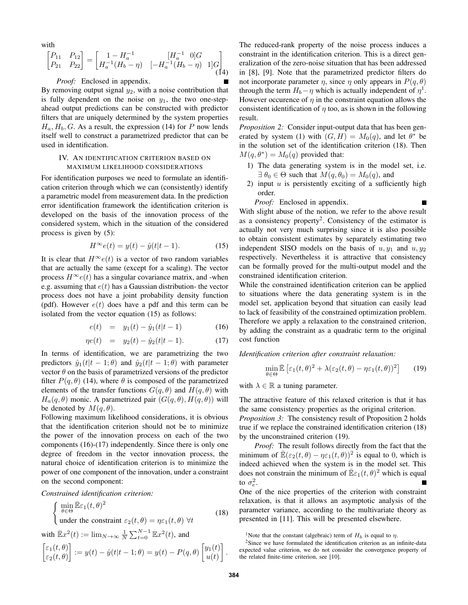with

$$
\begin{bmatrix} P_{11} & P_{12} \\ P_{21} & P_{22} \end{bmatrix} = \begin{bmatrix} 1 - H_a^{-1} & [H_a^{-1} \ 0]G \\ H_a^{-1}(H_b - \eta) & [-H_a^{-1}(H_b - \eta) \ 1]G \end{bmatrix}
$$
(14)

## *Proof:* Enclosed in appendix.

By removing output signal  $y_2$ , with a noise contribution that is fully dependent on the noise on  $y_1$ , the two one-stepahead output predictions can be constructed with predictor filters that are uniquely determined by the system properties  $H_a, H_b, G$ . As a result, the expression (14) for P now lends itself well to construct a parametrized predictor that can be used in identification.

#### IV. AN IDENTIFICATION CRITERION BASED ON MAXIMUM LIKELIHOOD CONSIDERATIONS

For identification purposes we need to formulate an identification criterion through which we can (consistently) identify a parametric model from measurement data. In the prediction error identification framework the identification criterion is developed on the basis of the innovation process of the considered system, which in the situation of the considered process is given by (5):

$$
H^{\infty}e(t) = y(t) - \hat{y}(t|t-1).
$$
 (15)

It is clear that  $H^{\infty}e(t)$  is a vector of two random variables that are actually the same (except for a scaling). The vector process  $H^{\infty}e(t)$  has a singular covariance matrix, and -when e.g. assuming that  $e(t)$  has a Gaussian distribution- the vector process does not have a joint probability density function (pdf). However  $e(t)$  does have a pdf and this term can be isolated from the vector equation (15) as follows:

$$
e(t) = y_1(t) - \hat{y}_1(t|t-1) \tag{16}
$$

$$
\eta e(t) = y_2(t) - \hat{y}_2(t|t-1). \tag{17}
$$

In terms of identification, we are parametrizing the two predictors  $\hat{y}_1(t|t-1;\theta)$  and  $\hat{y}_2(t|t-1;\theta)$  with parameter vector  $\theta$  on the basis of parametrized versions of the predictor filter  $P(q, \theta)$  (14), where  $\theta$  is composed of the parametrized elements of the transfer functions  $G(q, \theta)$  and  $H(q, \theta)$  with  $H_a(q, \theta)$  monic. A parametrized pair  $(G(q, \theta), H(q, \theta))$  will be denoted by  $M(q, \theta)$ .

Following maximum likelihood considerations, it is obvious that the identification criterion should not be to minimize the power of the innovation process on each of the two components (16)-(17) independently. Since there is only one degree of freedom in the vector innovation process, the natural choice of identification criterion is to minimize the power of one component of the innovation, under a constraint on the second component:

*Constrained identification criterion:*

$$
\begin{cases}\n\min_{\theta \in \Theta} \mathbb{E} \varepsilon_1(t, \theta)^2 \\
\text{under the constraint } \varepsilon_2(t, \theta) = \eta \varepsilon_1(t, \theta) \,\forall t\n\end{cases} \tag{18}
$$

with 
$$
\overline{\mathbb{E}}x^2(t) := \lim_{N \to \infty} \frac{1}{N} \sum_{t=0}^{N-1} \mathbb{E}x^2(t)
$$
, and  
\n
$$
\begin{bmatrix} \varepsilon_1(t,\theta) \\ \varepsilon_2(t,\theta) \end{bmatrix} := y(t) - \hat{y}(t|t-1;\theta) = y(t) - P(q,\theta) \begin{bmatrix} y_1(t) \\ u(t) \end{bmatrix}.
$$

The reduced-rank property of the noise process induces a constraint in the identification criterion. This is a direct generalization of the zero-noise situation that has been addressed in [8], [9]. Note that the parametrized predictor filters do not incorporate parameter  $\eta$ , since  $\eta$  only appears in  $P(q, \theta)$ through the term  $H_b - \eta$  which is actually independent of  $\eta^1$ . However occurence of  $\eta$  in the constraint equation allows the consistent identification of  $\eta$  too, as is shown in the following result.

*Proposition 2:* Consider input-output data that has been generated by system (1) with  $(G, H) = M_0(q)$ , and let  $\theta^*$  be in the solution set of the identification criterion (18). Then  $M(q, \theta^*) = M_0(q)$  provided that:

- 1) The data generating system is in the model set, i.e.  $\exists \theta_0 \in \Theta$  such that  $M(q, \theta_0) = M_0(q)$ , and
- 2) input  $u$  is persistently exciting of a sufficiently high order.

 $\blacksquare$ 

*Proof:* Enclosed in appendix.

With slight abuse of the notion, we refer to the above result as a consistency property<sup>2</sup>. Consistency of the estimator is actually not very much surprising since it is also possible to obtain consistent estimates by separately estimating two independent SISO models on the basis of  $u, y_1$  and  $u, y_2$ respectively. Nevertheless it is attractive that consistency can be formally proved for the multi-output model and the constrained identification criterion.

While the constrained identification criterion can be applied to situations where the data generating system is in the model set, application beyond that situation can easily lead to lack of feasibility of the constrained optimization problem. Therefore we apply a relaxation to the constrained criterion, by adding the constraint as a quadratic term to the original cost function

*Identification criterion after constraint relaxation:*

$$
\min_{\theta \in \Theta} \bar{\mathbb{E}} \left[ \varepsilon_1(t, \theta)^2 + \lambda(\varepsilon_2(t, \theta) - \eta \varepsilon_1(t, \theta))^2 \right] \tag{19}
$$

with  $\lambda \in \mathbb{R}$  a tuning parameter.

The attractive feature of this relaxed criterion is that it has the same consistency properties as the original criterion.

*Proposition 3:* The consistency result of Proposition 2 holds true if we replace the constrained identification criterion (18) by the unconstrained criterion (19).

*Proof:* The result follows directly from the fact that the minimum of  $\bar{\mathbb{E}}(\varepsilon_2(t,\theta) - \eta \varepsilon_1(t,\theta))^2$  is equal to 0, which is indeed achieved when the system is in the model set. This does not constrain the minimum of  $\mathbb{E}_{\epsilon_1}(t,\theta)^2$  which is equal to  $\sigma_e^2$ .

One of the nice properties of the criterion with constraint relaxation, is that it allows an asymptotic analysis of the parameter variance, according to the multivariate theory as presented in [11]. This will be presented elsewhere.

<sup>1</sup>Note that the constant (algebraic) term of  $H_b$  is equal to  $\eta$ .

<sup>&</sup>lt;sup>2</sup>Since we have formulated the identification criterion as an infinite-data expected value criterion, we do not consider the convergence property of the related finite-time criterion, see [10].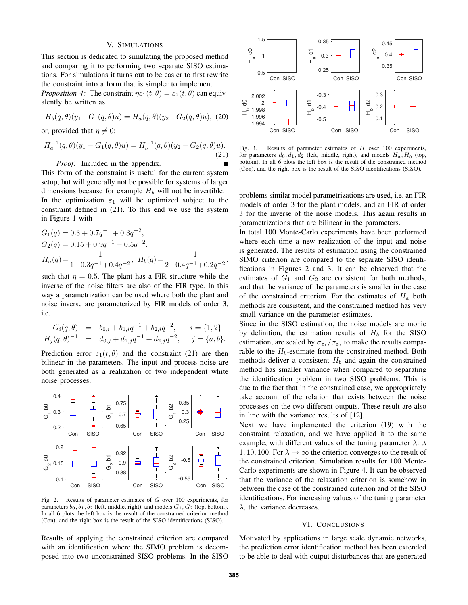#### V. SIMULATIONS

This section is dedicated to simulating the proposed method and comparing it to performing two separate SISO estimations. For simulations it turns out to be easier to first rewrite the constraint into a form that is simpler to implement.

*Proposition 4:* The constraint  $\eta \varepsilon_1(t, \theta) = \varepsilon_2(t, \theta)$  can equivalently be written as

$$
H_b(q, \theta)(y_1 - G_1(q, \theta)u) = H_a(q, \theta)(y_2 - G_2(q, \theta)u), (20)
$$

or, provided that  $\eta \neq 0$ :

$$
H_a^{-1}(q, \theta)(y_1 - G_1(q, \theta)u) = H_b^{-1}(q, \theta)(y_2 - G_2(q, \theta)u).
$$
\n(21)

*Proof:* Included in the appendix.

This form of the constraint is useful for the current system setup, but will generally not be possible for systems of larger dimensions because for example  $H_b$  will not be invertible. In the optimization  $\varepsilon_1$  will be optimized subject to the constraint defined in (21). To this end we use the system in Figure 1 with

$$
G_1(q) = 0.3 + 0.7q^{-1} + 0.3q^{-2},
$$
  
\n
$$
G_2(q) = 0.15 + 0.9q^{-1} - 0.5q^{-2},
$$
  
\n
$$
H_a(q) = \frac{1}{1 + 0.3q^{-1} + 0.4q^{-2}}, \ H_b(q) = \frac{1}{2 - 0.4q^{-1} + 0.2q^{-2}},
$$

such that  $\eta = 0.5$ . The plant has a FIR structure while the inverse of the noise filters are also of the FIR type. In this way a parametrization can be used where both the plant and noise inverse are parameterized by FIR models of order 3, i.e.

$$
G_i(q, \theta) = b_{0,i} + b_{1,i}q^{-1} + b_{2,i}q^{-2}, \quad i = \{1, 2\}
$$
  

$$
H_j(q, \theta)^{-1} = d_{0,j} + d_{1,j}q^{-1} + d_{2,j}q^{-2}, \quad j = \{a, b\}.
$$

Prediction error  $\varepsilon_1(t, \theta)$  and the constraint (21) are then bilinear in the parameters. The input and process noise are both generated as a realization of two independent white noise processes.



Fig. 2. Results of parameter estimates of G over 100 experiments, for parameters  $b_0$ ,  $b_1$ ,  $b_2$  (left, middle, right), and models  $G_1$ ,  $G_2$  (top, bottom). In all 6 plots the left box is the result of the constrained criterion method (Con), and the right box is the result of the SISO identifications (SISO).

Results of applying the constrained criterion are compared with an identification where the SIMO problem is decomposed into two unconstrained SISO problems. In the SISO



Fig. 3. Results of parameter estimates of H over 100 experiments, for parameters  $d_0, d_1, d_2$  (left, middle, right), and models  $H_a$ ,  $H_b$  (top, bottom). In all 6 plots the left box is the result of the constrained method (Con), and the right box is the result of the SISO identifications (SISO).

problems similar model parametrizations are used, i.e. an FIR models of order 3 for the plant models, and an FIR of order 3 for the inverse of the noise models. This again results in parametrizations that are bilinear in the parameters.

In total 100 Monte-Carlo experiments have been performed where each time a new realization of the input and noise is generated. The results of estimation using the constrained SIMO criterion are compared to the separate SISO identifications in Figures 2 and 3. It can be observed that the estimates of  $G_1$  and  $G_2$  are consistent for both methods, and that the variance of the parameters is smaller in the case of the constrained criterion. For the estimates of  $H_a$  both methods are consistent, and the constrained method has very small variance on the parameter estimates.

Since in the SISO estimation, the noise models are monic by definition, the estimation results of  $H_b$  for the SISO estimation, are scaled by  $\sigma_{\varepsilon_1}/\sigma_{\varepsilon_2}$  to make the results comparable to the  $H_b$ -estimate from the constrained method. Both methods deliver a consistent  $H<sub>b</sub>$  and again the constrained method has smaller variance when compared to separating the identification problem in two SISO problems. This is due to the fact that in the constrained case, we appropriately take account of the relation that exists between the noise processes on the two different outputs. These result are also in line with the variance results of [12].

Next we have implemented the criterion (19) with the constraint relaxation, and we have applied it to the same example, with different values of the tuning parameter  $\lambda$ :  $\lambda$ 1, 10, 100. For  $\lambda \to \infty$  the criterion converges to the result of the constrained criterion. Simulation results for 100 Monte-Carlo experiments are shown in Figure 4. It can be observed that the variance of the relaxation criterion is somehow in between the case of the constrained criterion and of the SISO identifications. For increasing values of the tuning parameter  $\lambda$ , the variance decreases.

### VI. CONCLUSIONS

Motivated by applications in large scale dynamic networks, the prediction error identification method has been extended to be able to deal with output disturbances that are generated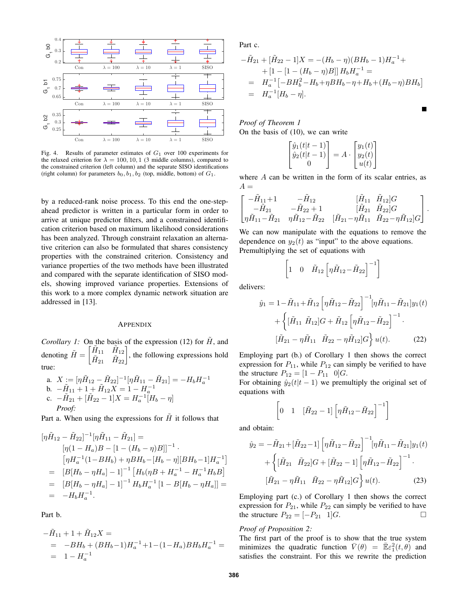

Fig. 4. Results of parameter estimates of  $G_1$  over 100 experiments for the relaxed criterion for  $\lambda = 100, 10, 1$  (3 middle columns), compared to the constrained criterion (left column) and the separate SISO identifications (right column) for parameters  $b_0$ ,  $b_1$ ,  $b_2$  (top, middle, bottom) of  $G_1$ .

by a reduced-rank noise process. To this end the one-stepahead predictor is written in a particular form in order to arrive at unique predictor filters, and a constrained identification criterion based on maximum likelihood considerations has been analyzed. Through constraint relaxation an alternative criterion can also be formulated that shares consistency properties with the constrained criterion. Consistency and variance properties of the two methods have been illustrated and compared with the separate identification of SISO models, showing improved variance properties. Extensions of this work to a more complex dynamic network situation are addressed in [13].

#### APPENDIX

*Corollary 1:* On the basis of the expression  $(12)$  for H, and denoting  $\tilde{H} = \begin{bmatrix} \tilde{H}_{11} & \tilde{H}_{12} \\ \tilde{H}_{21} & \tilde{H}_{22} \end{bmatrix}$ , the following expressions hold true:

a. 
$$
X := [\eta \tilde{H}_{12} - \tilde{H}_{22}]^{-1} [\eta \tilde{H}_{11} - \tilde{H}_{21}] = -H_b H_a^{-1}
$$
  
\nb. 
$$
-\tilde{H}_{11} + 1 + \tilde{H}_{12} X = 1 - H_a^{-1}
$$
  
\nc. 
$$
-\tilde{H}_{21} + [\tilde{H}_{22} - 1]X = H_a^{-1}[H_b - \eta]
$$
  
\n*Proof:*

Part a. When using the expressions for  $\tilde{H}$  it follows that

$$
[\eta \tilde{H}_{12} - \tilde{H}_{22}]^{-1} [\eta \tilde{H}_{11} - \tilde{H}_{21}] =
$$
  
\n
$$
[\eta (1 - H_a)B - [1 - (H_b - \eta)B]]^{-1}.
$$
  
\n
$$
[\eta H_a^{-1} (1 - BH_b) + \eta BH_b - [H_b - \eta][BH_b - 1]H_a^{-1}]
$$
  
\n
$$
= [B[H_b - \eta H_a] - 1]^{-1} [H_b(\eta B + H_a^{-1} - H_a^{-1}H_bB]
$$
  
\n
$$
= [B[H_b - \eta H_a] - 1]^{-1} H_bH_a^{-1} [1 - B[H_b - \eta H_a]] =
$$
  
\n
$$
= -H_bH_a^{-1}.
$$

Part b.

$$
-\tilde{H}_{11} + 1 + \tilde{H}_{12}X =
$$
  
= -BH<sub>b</sub> + (BH<sub>b</sub>-1)H<sub>a</sub><sup>-1</sup>+1-(1-H<sub>a</sub>)BH<sub>b</sub>H<sub>a</sub><sup>-1</sup> =  
= 1-H<sub>a</sub><sup>-1</sup>

Part c.

$$
-\tilde{H}_{21} + [\tilde{H}_{22} - 1]X = -(H_b - \eta)(BH_b - 1)H_a^{-1} ++ [1 - [1 - (H_b - \eta)B]] H_b H_a^{-1} == H_a^{-1} [-BH_b^2 - H_b + \eta BH_b - \eta + H_b + (H_b - \eta) BH_b]= H_a^{-1} [H_b - \eta].
$$

*Proof of Theorem 1* On the basis of (10), we can write

$$
\begin{bmatrix} \hat{y}_1(t|t-1) \\ \hat{y}_2(t|t-1) \\ 0 \end{bmatrix} = A \cdot \begin{bmatrix} y_1(t) \\ y_2(t) \\ u(t) \end{bmatrix}
$$

where  $A$  can be written in the form of its scalar entries, as  $A =$ 

$$
\begin{bmatrix} -\tilde{H}_{11}+1 & -\tilde{H}_{12} & [\tilde{H}_{11} & \tilde{H}_{12}]G \\ -\tilde{H}_{21} & -\tilde{H}_{22}+1 & [\tilde{H}_{21} & \tilde{H}_{22}]G \\ \eta \tilde{H}_{11}-\tilde{H}_{21} & \eta \tilde{H}_{12}-\tilde{H}_{22} & [\tilde{H}_{21}-\eta \tilde{H}_{11} & \tilde{H}_{22}-\eta \tilde{H}_{12}]G \end{bmatrix}.
$$

We can now manipulate with the equations to remove the dependence on  $y_2(t)$  as "input" to the above equations. Premultiplying the set of equations with

$$
\left[1 \quad 0 \quad \tilde{H}_{12} \left[\eta \tilde{H}_{12} - \tilde{H}_{22}\right]^{-1}\right]
$$

delivers:

$$
\hat{y}_1 = 1 - \tilde{H}_{11} + \tilde{H}_{12} \left[ \eta \tilde{H}_{12} - \tilde{H}_{22} \right]^{-1} \left[ \eta \tilde{H}_{11} - \tilde{H}_{21} \right] y_1(t) \n+ \left\{ \left[ \tilde{H}_{11} \tilde{H}_{12} \right] G + \tilde{H}_{12} \left[ \eta \tilde{H}_{12} - \tilde{H}_{22} \right]^{-1} \right. \n\left. \left[ \tilde{H}_{21} - \eta \tilde{H}_{11} \tilde{H}_{22} - \eta \tilde{H}_{12} \right] G \right\} u(t).
$$
\n(22)

Employing part (b.) of Corollary 1 then shows the correct expression for  $P_{11}$ , while  $P_{12}$  can simply be verified to have the structure  $P_{12} = [1 - P_{11} \ 0]G$ .

For obtaining  $\hat{y}_2(t|t-1)$  we premultiply the original set of equations with

$$
\left[0 \quad 1 \quad [\tilde{H}_{22} - 1] \left[\eta \tilde{H}_{12} - \tilde{H}_{22}\right]^{-1}\right]
$$

and obtain:

$$
\hat{y}_2 = -\tilde{H}_{21} + [\tilde{H}_{22} - 1] \left[ \eta \tilde{H}_{12} - \tilde{H}_{22} \right]^{-1} \left[ \eta \tilde{H}_{11} - \tilde{H}_{21} \right] y_1(t) \n+ \left\{ \left[ \tilde{H}_{21} \quad \tilde{H}_{22} \right] G + \left[ \tilde{H}_{22} - 1 \right] \left[ \eta \tilde{H}_{12} - \tilde{H}_{22} \right]^{-1} \cdot \left[ \tilde{H}_{21} - \eta \tilde{H}_{11} \quad \tilde{H}_{22} - \eta \tilde{H}_{12} \right] G \right\} u(t).
$$
\n(23)

Employing part (c.) of Corollary 1 then shows the correct expression for  $P_{21}$ , while  $P_{22}$  can simply be verified to have the structure  $P_{22} = [-P_{21} \quad 1]G$ .

# *Proof of Proposition 2:*

The first part of the proof is to show that the true system minimizes the quadratic function  $\overline{V}(\theta) = \overline{\mathbb{E}} \varepsilon_1^2(t, \theta)$  and satisfies the constraint. For this we rewrite the prediction